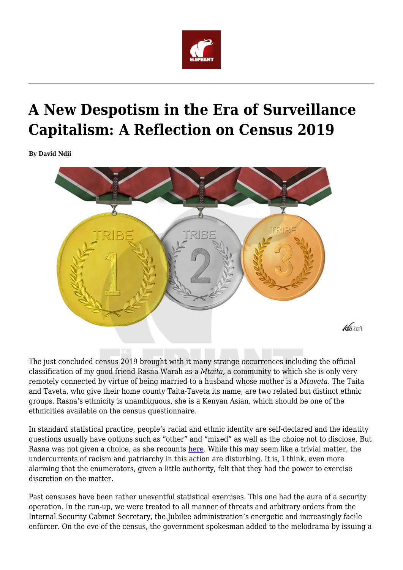

## **A New Despotism in the Era of Surveillance Capitalism: A Reflection on Census 2019**

**By David Ndii**



The just concluded census 2019 brought with it many strange occurrences including the official classification of my good friend Rasna Warah as a *Mtaita,* a community to which she is only very remotely connected by virtue of being married to a husband whose mother is a *Mtaveta.* The Taita and Taveta, who give their home county Taita-Taveta its name, are two related but distinct ethnic groups. Rasna's ethnicity is unambiguous, she is a Kenyan Asian, which should be one of the ethnicities available on the census questionnaire.

In standard statistical practice, people's racial and ethnic identity are self-declared and the identity questions usually have options such as "other" and "mixed" as well as the choice not to disclose. But Rasna was not given a choice, as she recounts [here](https://www.theelephant.info/op-eds/2019/09/02/i-am-now-officially-a-taita-how-the-2019-census-made-me-lose-my-identity/). While this may seem like a trivial matter, the undercurrents of racism and patriarchy in this action are disturbing. It is, I think, even more alarming that the enumerators, given a little authority, felt that they had the power to exercise discretion on the matter.

Past censuses have been rather uneventful statistical exercises. This one had the aura of a security operation. In the run-up, we were treated to all manner of threats and arbitrary orders from the Internal Security Cabinet Secretary, the Jubilee administration's energetic and increasingly facile enforcer. On the eve of the census, the government spokesman added to the melodrama by issuing a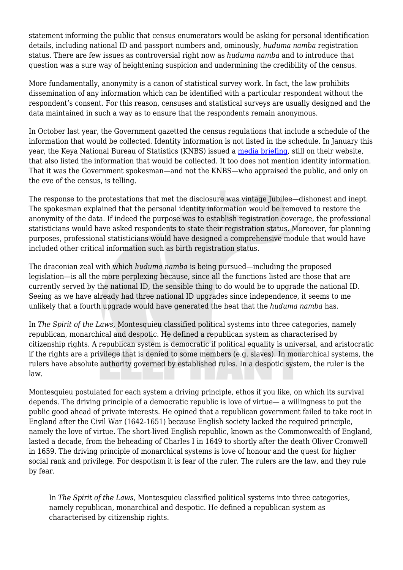statement informing the public that census enumerators would be asking for personal identification details, including national ID and passport numbers and, ominously, *huduma namba* registration status. There are few issues as controversial right now as *huduma namba* and to introduce that question was a sure way of heightening suspicion and undermining the credibility of the census.

More fundamentally, anonymity is a canon of statistical survey work. In fact, the law prohibits dissemination of any information which can be identified with a particular respondent without the respondent's consent. For this reason, censuses and statistical surveys are usually designed and the data maintained in such a way as to ensure that the respondents remain anonymous.

In October last year, the Government gazetted the census regulations that include a schedule of the information that would be collected. Identity information is not listed in the schedule. In January this year, the Keya National Bureau of Statistics (KNBS) issued a [media briefing,](https://www.knbs.or.ke/download/media-briefing-on-2019-kenya-population-and-housing-census/) still on their website, that also listed the information that would be collected. It too does not mention identity information. That it was the Government spokesman—and not the KNBS—who appraised the public, and only on the eve of the census, is telling.

The response to the protestations that met the disclosure was vintage Jubilee—dishonest and inept. The spokesman explained that the personal identity information would be removed to restore the anonymity of the data. If indeed the purpose was to establish registration coverage, the professional statisticians would have asked respondents to state their registration status. Moreover, for planning purposes, professional statisticians would have designed a comprehensive module that would have included other critical information such as birth registration status.

The draconian zeal with which *huduma namba* is being pursued—including the proposed legislation—is all the more perplexing because, since all the functions listed are those that are currently served by the national ID, the sensible thing to do would be to upgrade the national ID. Seeing as we have already had three national ID upgrades since independence, it seems to me unlikely that a fourth upgrade would have generated the heat that the *huduma namba* has.

In *The Spirit of the Laws,* Montesquieu classified political systems into three categories, namely republican, monarchical and despotic. He defined a republican system as characterised by citizenship rights. A republican system is democratic if political equality is universal, and aristocratic if the rights are a privilege that is denied to some members (e.g. slaves). In monarchical systems, the rulers have absolute authority governed by established rules. In a despotic system, the ruler is the law.

Montesquieu postulated for each system a driving principle, ethos if you like, on which its survival depends. The driving principle of a democratic republic is love of virtue— a willingness to put the public good ahead of private interests. He opined that a republican government failed to take root in England after the Civil War (1642-1651) because English society lacked the required principle, namely the love of virtue. The short-lived English republic, known as the Commonwealth of England, lasted a decade, from the beheading of Charles I in 1649 to shortly after the death Oliver Cromwell in 1659. The driving principle of monarchical systems is love of honour and the quest for higher social rank and privilege. For despotism it is fear of the ruler. The rulers are the law, and they rule by fear.

In *The Spirit of the Laws,* Montesquieu classified political systems into three categories, namely republican, monarchical and despotic. He defined a republican system as characterised by citizenship rights.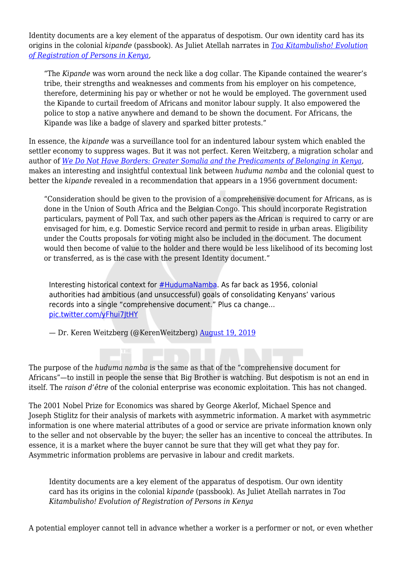Identity documents are a key element of the apparatus of despotism. Our own identity card has its origins in the colonial *kipande* (passbook). As Juliet Atellah narrates in *[Toa Kitambulisho! Evolution](https://www.theelephant.info/data-stories/2019/06/14/toa-kitambulisho-evolution-of-registration-of-persons-in-kenya/) [of Registration of Persons in Kenya,](https://www.theelephant.info/data-stories/2019/06/14/toa-kitambulisho-evolution-of-registration-of-persons-in-kenya/)*

"The *Kipande* was worn around the neck like a dog collar. The Kipande contained the wearer's tribe, their strengths and weaknesses and comments from his employer on his competence, therefore, determining his pay or whether or not he would be employed. The government used the Kipande to curtail freedom of Africans and monitor labour supply. It also empowered the police to stop a native anywhere and demand to be shown the document. For Africans, the Kipande was like a badge of slavery and sparked bitter protests."

In essence, the *kipande* was a surveillance tool for an indentured labour system which enabled the settler economy to suppress wages. But it was not perfect. Keren Weitzberg, a migration scholar and author of *[We Do Not Have Borders: Greater Somalia and the Predicaments of Belonging in Kenya](https://www.kerenweitzberg.com/book),* makes an interesting and insightful contextual link between *huduma namba* and the colonial quest to better the *kipande* revealed in a recommendation that appears in a 1956 government document:

"Consideration should be given to the provision of a comprehensive document for Africans, as is done in the Union of South Africa and the Belgian Congo. This should incorporate Registration particulars, payment of Poll Tax, and such other papers as the African is required to carry or are envisaged for him, e.g. Domestic Service record and permit to reside in urban areas. Eligibility under the Coutts proposals for voting might also be included in the document. The document would then become of value to the holder and there would be less likelihood of its becoming lost or transferred, as is the case with the present Identity document."

Interesting historical context for [#HudumaNamba.](https://twitter.com/hashtag/HudumaNamba?src=hash&ref_src=twsrc%5Etfw) As far back as 1956, colonial authorities had ambitious (and unsuccessful) goals of consolidating Kenyans' various records into a single "comprehensive document." Plus ca change… [pic.twitter.com/yFhui7JtHY](https://t.co/yFhui7JtHY)

— Dr. Keren Weitzberg (@KerenWeitzberg) [August 19, 2019](https://twitter.com/KerenWeitzberg/status/1163402243183382530?ref_src=twsrc%5Etfw)

The purpose of the *huduma namba* is the same as that of the "comprehensive document for Africans"—to instill in people the sense that Big Brother is watching. But despotism is not an end in itself. The *raison d'être* of the colonial enterprise was economic exploitation. This has not changed.

The 2001 Nobel Prize for Economics was shared by George Akerlof, Michael Spence and Joseph Stiglitz for their analysis of markets with asymmetric information. A market with asymmetric information is one where material attributes of a good or service are private information known only to the seller and not observable by the buyer; the seller has an incentive to conceal the attributes. In essence, it is a market where the buyer cannot be sure that they will get what they pay for. Asymmetric information problems are pervasive in labour and credit markets.

Identity documents are a key element of the apparatus of despotism. Our own identity card has its origins in the colonial *kipande* (passbook). As Juliet Atellah narrates in *Toa Kitambulisho! Evolution of Registration of Persons in Kenya*

A potential employer cannot tell in advance whether a worker is a performer or not, or even whether